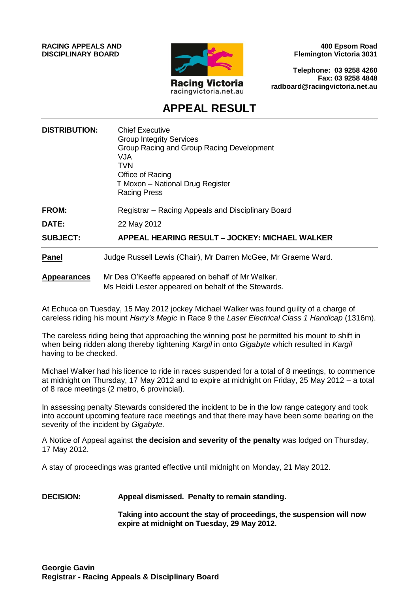**RACING APPEALS AND DISCIPLINARY BOARD**



**400 Epsom Road Flemington Victoria 3031**

**Telephone: 03 9258 4260 Fax: 03 9258 4848 radboard@racingvictoria.net.au**

# **APPEAL RESULT**

| <b>DISTRIBUTION:</b> | <b>Chief Executive</b><br><b>Group Integrity Services</b><br>Group Racing and Group Racing Development<br><b>VJA</b><br><b>TVN</b><br>Office of Racing<br>T Moxon - National Drug Register<br><b>Racing Press</b> |
|----------------------|-------------------------------------------------------------------------------------------------------------------------------------------------------------------------------------------------------------------|
| <b>FROM:</b>         | Registrar – Racing Appeals and Disciplinary Board                                                                                                                                                                 |
| <b>DATE:</b>         | 22 May 2012                                                                                                                                                                                                       |
| <b>SUBJECT:</b>      | APPEAL HEARING RESULT - JOCKEY: MICHAEL WALKER                                                                                                                                                                    |
| <b>Panel</b>         | Judge Russell Lewis (Chair), Mr Darren McGee, Mr Graeme Ward.                                                                                                                                                     |
| <b>Appearances</b>   | Mr Des O'Keeffe appeared on behalf of Mr Walker.<br>Ms Heidi Lester appeared on behalf of the Stewards.                                                                                                           |

At Echuca on Tuesday, 15 May 2012 jockey Michael Walker was found guilty of a charge of careless riding his mount *Harry's Magic* in Race 9 the *Laser Electrical Class 1 Handicap* (1316m).

The careless riding being that approaching the winning post he permitted his mount to shift in when being ridden along thereby tightening *Kargil* in onto *Gigabyte* which resulted in *Kargil*  having to be checked.

Michael Walker had his licence to ride in races suspended for a total of 8 meetings, to commence at midnight on Thursday, 17 May 2012 and to expire at midnight on Friday, 25 May 2012 – a total of 8 race meetings (2 metro, 6 provincial).

In assessing penalty Stewards considered the incident to be in the low range category and took into account upcoming feature race meetings and that there may have been some bearing on the severity of the incident by *Gigabyte.*

A Notice of Appeal against **the decision and severity of the penalty** was lodged on Thursday, 17 May 2012.

A stay of proceedings was granted effective until midnight on Monday, 21 May 2012.

**DECISION: Appeal dismissed. Penalty to remain standing.**

**Taking into account the stay of proceedings, the suspension will now expire at midnight on Tuesday, 29 May 2012.**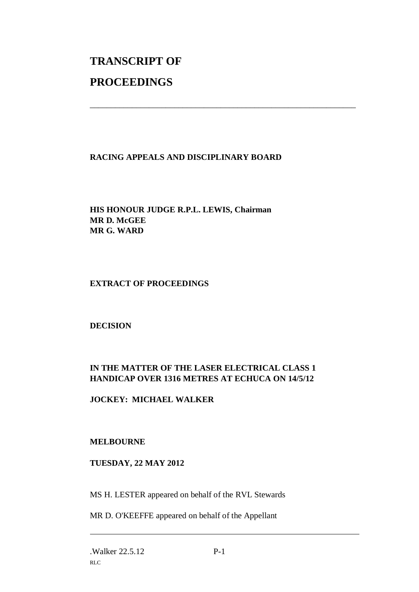# **TRANSCRIPT OF PROCEEDINGS**

# **RACING APPEALS AND DISCIPLINARY BOARD**

\_\_\_\_\_\_\_\_\_\_\_\_\_\_\_\_\_\_\_\_\_\_\_\_\_\_\_\_\_\_\_\_\_\_\_\_\_\_\_\_\_\_\_\_\_\_\_\_\_\_\_\_\_\_\_\_\_\_\_\_\_\_\_

**HIS HONOUR JUDGE R.P.L. LEWIS, Chairman MR D. McGEE MR G. WARD**

#### **EXTRACT OF PROCEEDINGS**

#### **DECISION**

# **IN THE MATTER OF THE LASER ELECTRICAL CLASS 1 HANDICAP OVER 1316 METRES AT ECHUCA ON 14/5/12**

# **JOCKEY: MICHAEL WALKER**

#### **MELBOURNE**

#### **TUESDAY, 22 MAY 2012**

MS H. LESTER appeared on behalf of the RVL Stewards

MR D. O'KEEFFE appeared on behalf of the Appellant